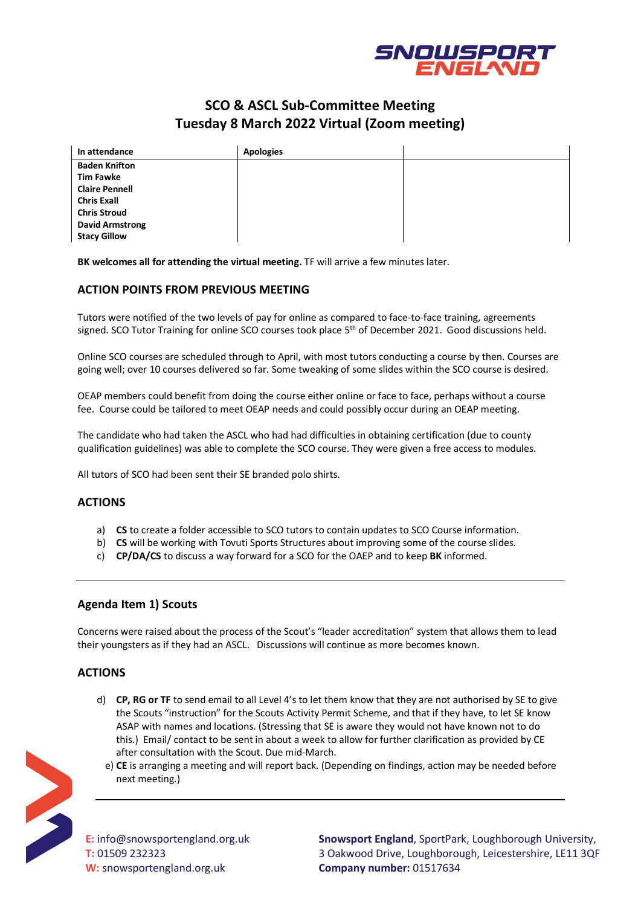

# **SCO & ASCL Sub-Committee Meeting Tuesday 8 March 2022 Virtual (Zoom meeting)**

| In attendance          | <b>Apologies</b> |  |
|------------------------|------------------|--|
| <b>Baden Knifton</b>   |                  |  |
| <b>Tim Fawke</b>       |                  |  |
| <b>Claire Pennell</b>  |                  |  |
| <b>Chris Exall</b>     |                  |  |
| <b>Chris Stroud</b>    |                  |  |
| <b>David Armstrong</b> |                  |  |
| <b>Stacy Gillow</b>    |                  |  |

**BK welcomes all for attending the virtual meeting.** TF will arrive a few minutes later.

## **ACTION POINTS FROM PREVIOUS MEETING**

Tutors were notified of the two levels of pay for online as compared to face-to-face training, agreements signed. SCO Tutor Training for online SCO courses took place 5<sup>th</sup> of December 2021. Good discussions held.

Online SCO courses are scheduled through to April, with most tutors conducting a course by then. Courses are going well; over 10 courses delivered so far. Some tweaking of some slides within the SCO course is desired.

OEAP members could benefit from doing the course either online or face to face, perhaps without a course fee. Course could be tailored to meet OEAP needs and could possibly occur during an OEAP meeting.

The candidate who had taken the ASCL who had had difficulties in obtaining certification (due to county qualification guidelines) was able to complete the SCO course. They were given a free access to modules.

All tutors of SCO had been sent their SE branded polo shirts.

## **ACTIONS**

- a) **CS** to create a folder accessible to SCO tutors to contain updates to SCO Course information.
- b) **CS** will be working with Tovuti Sports Structures about improving some of the course slides.
- c) **CP/DA/CS** to discuss a way forward for a SCO for the OAEP and to keep **BK** informed.

## **Agenda Item 1) Scouts**

Concerns were raised about the process of the Scout's "leader accreditation" system that allows them to lead their youngsters as if they had an ASCL. Discussions will continue as more becomes known.

## **ACTIONS**

- d) **CP, RG or TF** to send email to all Level 4's to let them know that they are not authorised by SE to give the Scouts "instruction" for the Scouts Activity Permit Scheme, and that if they have, to let SE know ASAP with names and locations. (Stressing that SE is aware they would not have known not to do this.) Email/ contact to be sent in about a week to allow for further clarification as provided by CE after consultation with the Scout. Due mid-March.
- e) **CE** is arranging a meeting and will report back. (Depending on findings, action may be needed before next meeting.)



**E:** info@snowsportengland.org.uk **T:** 01509 232323 **W:** snowsportengland.org.uk

**Snowsport England**, SportPark, Loughborough University, 3 Oakwood Drive, Loughborough, Leicestershire, LE11 3QF **Company number:** 01517634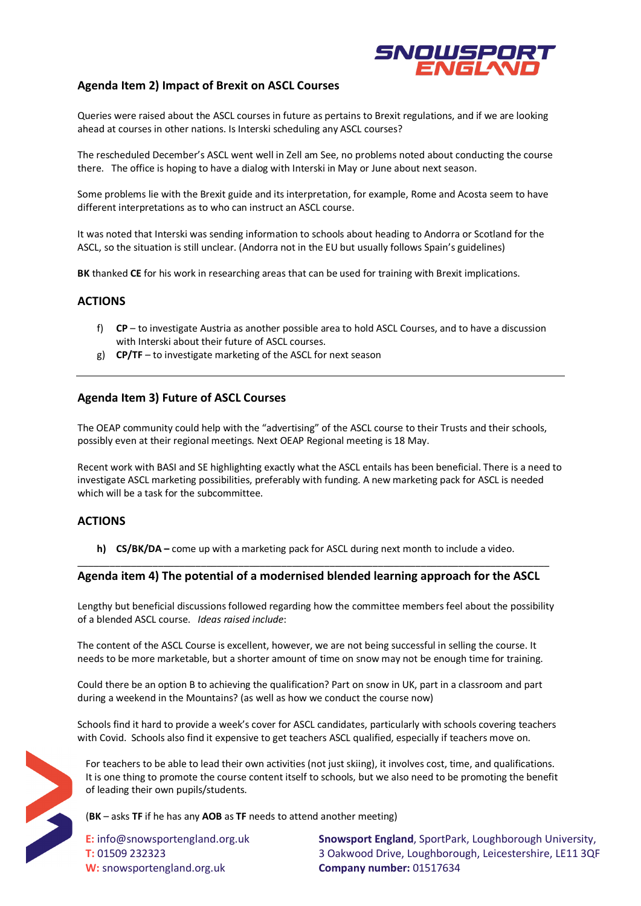

## **Agenda Item 2) Impact of Brexit on ASCL Courses**

Queries were raised about the ASCL courses in future as pertains to Brexit regulations, and if we are looking ahead at courses in other nations. Is Interski scheduling any ASCL courses?

The rescheduled December's ASCL went well in Zell am See, no problems noted about conducting the course there. The office is hoping to have a dialog with Interski in May or June about next season.

Some problems lie with the Brexit guide and its interpretation, for example, Rome and Acosta seem to have different interpretations as to who can instruct an ASCL course.

It was noted that Interski was sending information to schools about heading to Andorra or Scotland for the ASCL, so the situation is still unclear. (Andorra not in the EU but usually follows Spain's guidelines)

**BK** thanked **CE** for his work in researching areas that can be used for training with Brexit implications.

## **ACTIONS**

- f) **CP**  to investigate Austria as another possible area to hold ASCL Courses, and to have a discussion with Interski about their future of ASCL courses.
- g) **CP/TF**  to investigate marketing of the ASCL for next season

## **Agenda Item 3) Future of ASCL Courses**

The OEAP community could help with the "advertising" of the ASCL course to their Trusts and their schools, possibly even at their regional meetings. Next OEAP Regional meeting is 18 May.

Recent work with BASI and SE highlighting exactly what the ASCL entails has been beneficial. There is a need to investigate ASCL marketing possibilities, preferably with funding. A new marketing pack for ASCL is needed which will be a task for the subcommittee.

## **ACTIONS**

**h) CS/BK/DA –** come up with a marketing pack for ASCL during next month to include a video.

#### \_\_\_\_\_\_\_\_\_\_\_\_\_\_\_\_\_\_\_\_\_\_\_\_\_\_\_\_\_\_\_\_\_\_\_\_\_\_\_\_\_\_\_\_\_\_\_\_\_\_\_\_\_\_\_\_\_\_\_\_\_\_\_\_\_\_\_\_\_\_\_\_\_\_\_\_\_\_\_\_\_\_\_\_\_\_\_\_ **Agenda item 4) The potential of a modernised blended learning approach for the ASCL**

Lengthy but beneficial discussions followed regarding how the committee members feel about the possibility of a blended ASCL course. *Ideas raised include*:

The content of the ASCL Course is excellent, however, we are not being successful in selling the course. It needs to be more marketable, but a shorter amount of time on snow may not be enough time for training.

Could there be an option B to achieving the qualification? Part on snow in UK, part in a classroom and part during a weekend in the Mountains? (as well as how we conduct the course now)

Schools find it hard to provide a week's cover for ASCL candidates, particularly with schools covering teachers with Covid. Schools also find it expensive to get teachers ASCL qualified, especially if teachers move on.



For teachers to be able to lead their own activities (not just skiing), it involves cost, time, and qualifications. It is one thing to promote the course content itself to schools, but we also need to be promoting the benefit of leading their own pupils/students.

(**BK** – asks **TF** if he has any **AOB** as **TF** needs to attend another meeting)

**E:** info@snowsportengland.org.uk **T:** 01509 232323 **W:** snowsportengland.org.uk

**Snowsport England**, SportPark, Loughborough University, 3 Oakwood Drive, Loughborough, Leicestershire, LE11 3QF **Company number:** 01517634